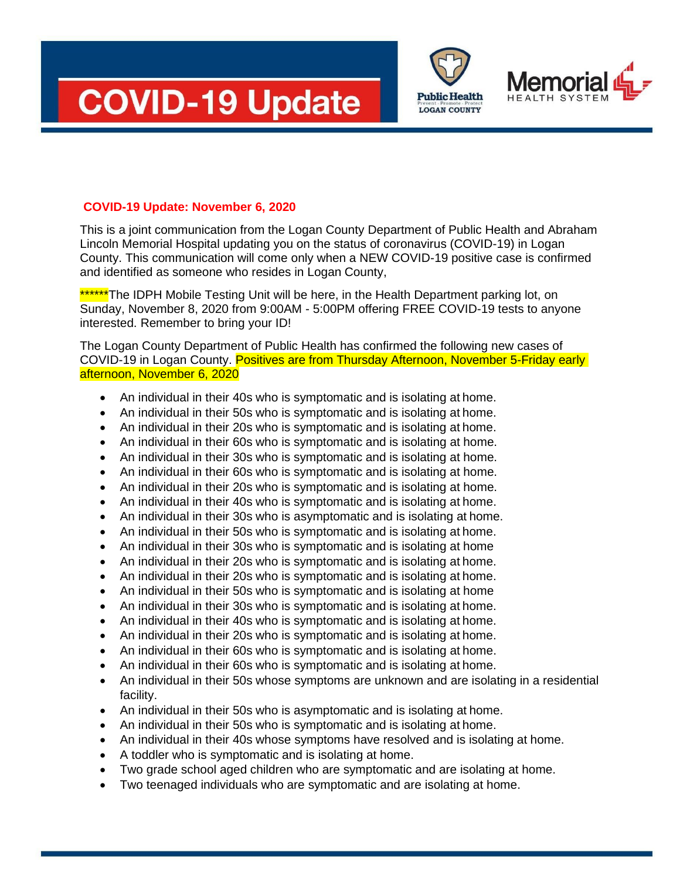



## **COVID-19 Update: November 6, 2020**

This is a joint communication from the Logan County Department of Public Health and Abraham Lincoln Memorial Hospital updating you on the status of coronavirus (COVID-19) in Logan County. This communication will come only when a NEW COVID-19 positive case is confirmed and identified as someone who resides in Logan County,

\*\*\*\*\*\*The IDPH Mobile Testing Unit will be here, in the Health Department parking lot, on Sunday, November 8, 2020 from 9:00AM - 5:00PM offering FREE COVID-19 tests to anyone interested. Remember to bring your ID!

The Logan County Department of Public Health has confirmed the following new cases of COVID-19 in Logan County. Positives are from Thursday Afternoon, November 5-Friday early afternoon, November 6, 2020

- An individual in their 40s who is symptomatic and is isolating at home.
- An individual in their 50s who is symptomatic and is isolating at home.
- An individual in their 20s who is symptomatic and is isolating at home.
- An individual in their 60s who is symptomatic and is isolating at home.
- An individual in their 30s who is symptomatic and is isolating at home.
- An individual in their 60s who is symptomatic and is isolating at home.
- An individual in their 20s who is symptomatic and is isolating at home.
- An individual in their 40s who is symptomatic and is isolating at home.
- An individual in their 30s who is asymptomatic and is isolating at home.
- An individual in their 50s who is symptomatic and is isolating at home.
- An individual in their 30s who is symptomatic and is isolating at home
- An individual in their 20s who is symptomatic and is isolating at home.
- An individual in their 20s who is symptomatic and is isolating at home.
- An individual in their 50s who is symptomatic and is isolating at home
- An individual in their 30s who is symptomatic and is isolating at home.
- An individual in their 40s who is symptomatic and is isolating at home.
- An individual in their 20s who is symptomatic and is isolating at home.
- An individual in their 60s who is symptomatic and is isolating at home.
- An individual in their 60s who is symptomatic and is isolating at home.
- An individual in their 50s whose symptoms are unknown and are isolating in a residential facility.
- An individual in their 50s who is asymptomatic and is isolating at home.
- An individual in their 50s who is symptomatic and is isolating at home.
- An individual in their 40s whose symptoms have resolved and is isolating at home.
- A toddler who is symptomatic and is isolating at home.
- Two grade school aged children who are symptomatic and are isolating at home.
- Two teenaged individuals who are symptomatic and are isolating at home.